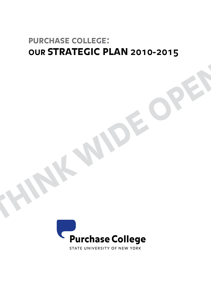# **purchase college: our strategic plan 2010-2015**

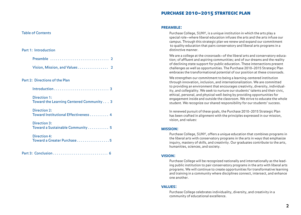### purchase 2010–2015 strategic plan

### Table of Contents

### Part 1: Introduction

| Preamble  2                                              |  |
|----------------------------------------------------------|--|
|                                                          |  |
| Part 2: Directions of the Plan                           |  |
|                                                          |  |
| Direction 1:<br>Toward the Learning Centered Community 3 |  |
| Direction 2:<br>Toward Institutional Effectiveness 4     |  |
| Direction 3:<br>Toward a Sustainable Community 5         |  |
| Direction 4:<br>Toward a Greater Purchase 5              |  |
|                                                          |  |

Part 3: Conclusion . . . . . . . . . . . . . . . . . . . . . . . . . . . . . 6

#### **preamble:**

Purchase College, SUNY, is a unique institution in which the arts play a special role—where liberal education infuses the arts and the arts infuse our campus. Through this strategic plan we renew and expand our commitment to quality education that pairs conservatory and liberal arts programs in a distinctive manner.

We are a college at the crossroads—of the liberal arts and conservatory education; of affluent and aspiring communities; and of our dreams and the reality of declining state support for public education. These intersections present challenges as well as opportunities. The Purchase 2010–2015 Strategic Plan embraces the transformational potential of our position at these crossroads.

We strengthen our commitment to being a learning-centered institution through innovation, inclusion, and internationalization. We are committed to providing an environment that encourages creativity, diversity, individuality, and collegiality. We seek to nurture our students' talents and their civic, ethical, personal, and physical well-being by providing opportunities for engagement inside and outside the classroom. We strive to educate the whole student. We recognize our shared responsibility for our students' success.

In renewed pursuit of these goals, the Purchase 2010–2015 Strategic Plan has been crafted in alignment with the principles expressed in our mission, vision, and values:

### **mission:**

Purchase College, SUNY, offers a unique education that combines programs in the liberal arts with conservatory programs in the arts in ways that emphasize inquiry, mastery of skills, and creativity. Our graduates contribute to the arts, humanities, sciences, and society.

### **vision:**

Purchase College will be recognized nationally and internationally as the leading public institution to pair conservatory programs in the arts with liberal arts programs. We will continue to create opportunities for transformative learning and training in a community where disciplines connect, intersect, and enhance one another.

#### **values:**

Purchase College celebrates individuality, diversity, and creativity in a community of educational excellence.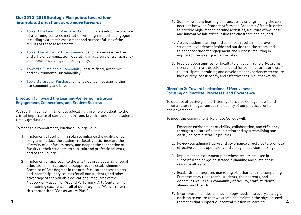# Our 2010–2015 Strategic Plan points toward four interrelated directions as we move forward:

- Toward the Learning-Centered Community: develop the practice of a learning-centered institution with high-impact pedagogies, including systematic assessment and purposeful use of the results of those assessments;
- Toward Institutional Effectiveness: become a more effective and efficient organization, operating in a culture of transparency, collaboration, civility, and collegiality;
- Toward a Sustainable Community: ensure fiscal, academic, and environmental sustainability;
- Toward a Greater Purchase: enhance our connections within our community and beyond.

## **Direction 1: Toward the Learning-Centered Institution: Engagement, Connections, and Student Success**

We reaffirm our commitment to educating the whole student, to the critical importance of curricular depth and breadth, and to our students' timely graduation.

To meet this commitment, Purchase College will:

- 1. Implement a faculty hiring plan to enhance the quality of our programs, reduce the student-to-faculty ratio, increase the diversity of our faculty body, and deepen the connection of faculty to their students, to curricula and professional work, and to the College.
- 2. Implement an approach to the arts that provides a rich, liberal education for arts students, supports the establishment of Bachelor of Arts degrees in the arts, facilitates access to arts and interdisciplinary courses for all our students, and takes advantage of the valuable educational resources of the Neuberger Museum of Art and Performing Arts Center while maintaining excellence in all of our programs. We will refer to this approach as "Conservatory Plus."
- 3. Support student learning and success by strengthening the connections between Student Affairs and Academic Affairs in order to provide high-impact learning activities, a culture of wellness, and innovative initiatives inside the classroom and beyond.
- 4. Assess student learning and use those results to improve students' experiences inside and outside the classroom and to enhance student engagement and success, resulting in improved four-year graduation rates.
- 5. Provide opportunities for faculty to engage in scholarly, professional, and artistic development and for administrators and staff to participate in training and development experiences to ensure high quality, consistency, and effectiveness in all that we do.

### **Direction 2: Toward Institutional Effectiveness: Focusing on Practices, Processes, and Governance**

To operate effectively and efficiently, Purchase College must build an infrastructure that guarantees the quality of our practices, units, and governance.

To meet this commitment, Purchase College will:

- 1. Foster an environment of civility, collaboration, and efficiency through a culture of communication and by streamlining and clarifying administrative policies.
- 2. Review our administrative and governance structures to promote effective campus operations and collegial decision-making.
- 3. Implement an assessment plan whose results are used in successful and on-going strategic planning and sustainable resource allocation.
- 4. Establish an integrated marketing plan that tells the compelling Purchase story to potential students, their parents, and donors, as well as our community of faculty, staff, students, alumni, and friends.
- 5. Incorporate facilities and technology needs into every strategic decision to ensure that we create and maintain the physical envi-**3** ronments that support our central mission of learning. **4**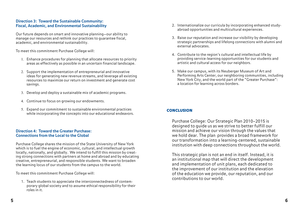## **Direction 3: Toward the Sustainable Community: Fiscal, Academic, and Environmental Sustainability**

Our future depends on smart and innovative planning—our ability to manage our resources and rethink our practices to guarantee fiscal, academic, and environmental sustainability.

To meet this commitment Purchase College will:

- 1. Enhance procedures for planning that allocate resources to priority areas as effectively as possible in an uncertain financial landscape.
- 2. Support the implementation of entrepreneurial and innovative ideas for generating new revenue streams, and leverage all existing resources to maximize our return on investment and generate cost savings.
- 3. Develop and deploy a sustainable mix of academic programs.
- 4. Continue to focus on growing our endowments.
- 5. Expand our commitment to sustainable environmental practices while incorporating the concepts into our educational endeavors.

# **Direction 4: Toward the Greater Purchase: Connections from the Local to the Global**

Purchase College shares the mission of the State University of New York which is to fuel the engine of economic, cultural, and intellectual growth locally, nationally, and globally. We intend to fulfill this mission by creating strong connections with partners at home and abroad and by educating creative, entrepreneurial, and responsible students. We want to broaden the learning locus of our students from the campus to the world.

To meet this commitment Purchase College will:

1. Teach students to appreciate the interconnectedness of contemporary global society and to assume ethical responsibility for their roles in it.

- 2. Internationalize our curricula by incorporating enhanced studyabroad opportunities and multicultural experiences.
- 3. Raise our reputation and increase our visibility by developing strategic partnerships and lifelong connections with alumni and external advocates.
- 4. Contribute to the region's cultural and intellectual life by providing service-learning opportunities for our students and artistic and cultural access for our neighbors.
- 5. Make our campus, with its Neuberger Museum of Art and Performing Arts Center, our neighboring communities, including New York City, and the world part of the "Greater Purchase": a location for learning across borders.

# **CONCLUSION**

Purchase College: Our Strategic Plan 2010–2015 is designed to guide us as we strive to better fulfill our mission and achieve our vision through the values that we hold dear. The plan provides a broad framework for our transformation into a learning-centered, sustainable institution with deep connections throughout the world.

This strategic plan is not an end in itself. Instead, it is an institutional map that will direct the development and implementation of unit plans, each dedicated to the improvement of our institution and the elevation of the education we provide, our reputation, and our contributions to our world.